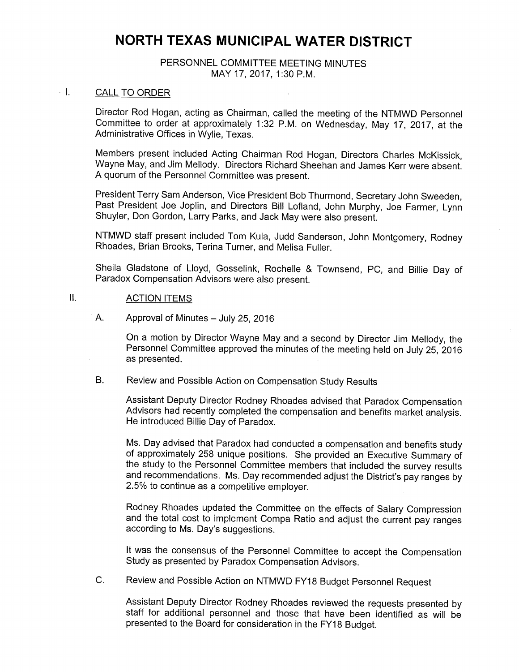# NORTH TEXAS MUNICIPAL WATER DISTRICT

### PERSONNEL COMMITTEE MEETING MINUTES MAY 17, 2017, 1:30 P.M.

#### $-1.$ CALL TO ORDER

Director Rod Hogan, acting as Chairman, called the meeting of the NTMWD Personnel Committee to order at approximately 1:32 P.M. on Wednesday, May 17, 2017, at the Administrative Offices in Wylie, Texas.

Members present included Acting Chairman Rod Hogan, Directors Charles McKissick, Wayne May, and Jim Mellody. Directors Richard Sheehan and James Kerr were absent. A quorum of the Personnel Committee was present.

President Terry Sam Anderson, Vice President Bob Thurmond, Secretary John Sweeden, Past President Joe Joplin, and Directors Bill Lofland, John Murphy, Joe Farmer, Lynn Shuyler, Don Gordon, Larry Parks, and Jack May were also present.

NTMWD staff present included Tom Kula, Judd Sanderson, John Montgomery, Rodney Rhoades, Brian Brooks, Terina Turner, and Melisa Fuller.

Sheila Gladstone of Lloyd, Gosselink, Rochelle & Townsend, PC, and Billie Day of Paradox Compensation Advisors were also present.

## II. ACTION ITEMS

A. Approval of Minutes — July 25, 2016

On a motion by Director Wayne May and a second by Director Jim Mellody, the Personnel Committee approved the minutes of the meeting held on July 25, 2016 as presented.

#### B. Review and Possible Action on Compensation Study Results

Assistant Deputy Director Rodney Rhoades advised that Paradox Compensation Advisors had recently completed the compensation and benefits market analysis. He introduced Billie Day of Paradox.

Ms. Day advised that Paradox had conducted a compensation and benefits study of approximately 258 unique positions. She provided an Executive Summary of the study to the Personnel Committee members that included the survey results and recommendations. Ms. Day recommended adjust the District's pay ranges by 2. 5% to continue as a competitive employer.

Rodney Rhoades updated the Committee on the effects of Salary Compression and the total cost to implement Compa Ratio and adjust the current pay ranges according to Ms. Day's suggestions.

It was the consensus of the Personnel Committee to accept the Compensation Study as presented by Paradox Compensation Advisors.

C. Review and Possible Action on NTMWD FY18 Budget Personnel Request

Assistant Deputy Director Rodney Rhoades reviewed the requests presented by staff for additional personnel and those that have been identified as will be presented to the Board for consideration in the FY18 Budget.